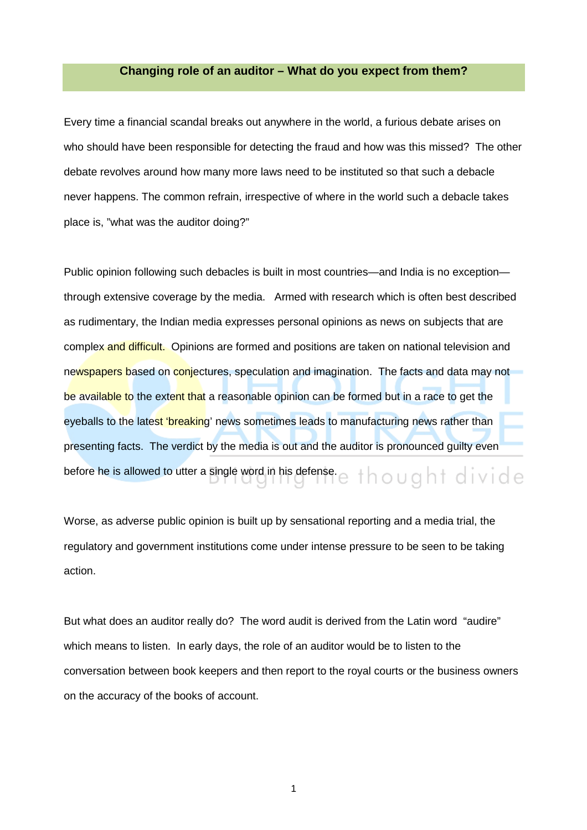# **Changing role of an auditor – What do you expect from them?**

Every time a financial scandal breaks out anywhere in the world, a furious debate arises on who should have been responsible for detecting the fraud and how was this missed? The other debate revolves around how many more laws need to be instituted so that such a debacle never happens. The common refrain, irrespective of where in the world such a debacle takes place is, "what was the auditor doing?"

Public opinion following such debacles is built in most countries—and India is no exception through extensive coverage by the media. Armed with research which is often best described as rudimentary, the Indian media expresses personal opinions as news on subjects that are complex and difficult. Opinions are formed and positions are taken on national television and newspapers based on conjectures, speculation and imagination. The facts and data may not be available to the extent that a reasonable opinion can be formed but in a race to get the eyeballs to the latest 'breaking' news sometimes leads to manufacturing news rather than presenting facts. The verdict by the media is out and the auditor is pronounced guilty even before he is allowed to utter a single word in his defense.  $e + h \circ u g h + d i v i d e$ 

Worse, as adverse public opinion is built up by sensational reporting and a media trial, the regulatory and government institutions come under intense pressure to be seen to be taking action.

But what does an auditor really do? The word audit is derived from the Latin word "audire" which means to listen. In early days, the role of an auditor would be to listen to the conversation between book keepers and then report to the royal courts or the business owners on the accuracy of the books of account.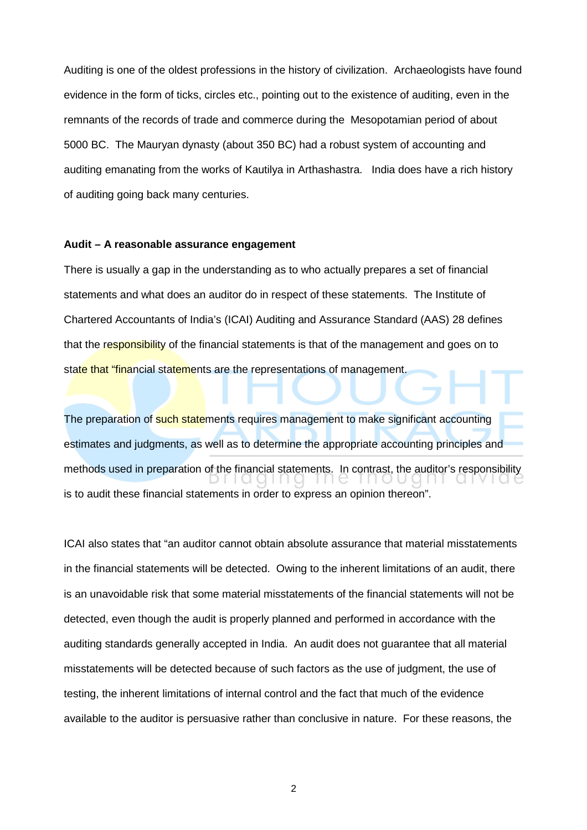Auditing is one of the oldest professions in the history of civilization. Archaeologists have found evidence in the form of ticks, circles etc., pointing out to the existence of auditing, even in the remnants of the records of trade and commerce during the Mesopotamian period of about 5000 BC. The Mauryan dynasty (about 350 BC) had a robust system of accounting and auditing emanating from the works of Kautilya in Arthashastra. India does have a rich history of auditing going back many centuries.

#### **Audit – A reasonable assurance engagement**

There is usually a gap in the understanding as to who actually prepares a set of financial statements and what does an auditor do in respect of these statements. The Institute of Chartered Accountants of India's (ICAI) Auditing and Assurance Standard (AAS) 28 defines that the responsibility of the financial statements is that of the management and goes on to state that "financial statements are the representations of management.

The preparation of such statements requires management to make significant accounting estimates and judgments, as well as to determine the appropriate accounting principles and methods used in preparation of the financial statements. In contrast, the auditor's responsibility is to audit these financial statements in order to express an opinion thereon".

ICAI also states that "an auditor cannot obtain absolute assurance that material misstatements in the financial statements will be detected. Owing to the inherent limitations of an audit, there is an unavoidable risk that some material misstatements of the financial statements will not be detected, even though the audit is properly planned and performed in accordance with the auditing standards generally accepted in India. An audit does not guarantee that all material misstatements will be detected because of such factors as the use of judgment, the use of testing, the inherent limitations of internal control and the fact that much of the evidence available to the auditor is persuasive rather than conclusive in nature. For these reasons, the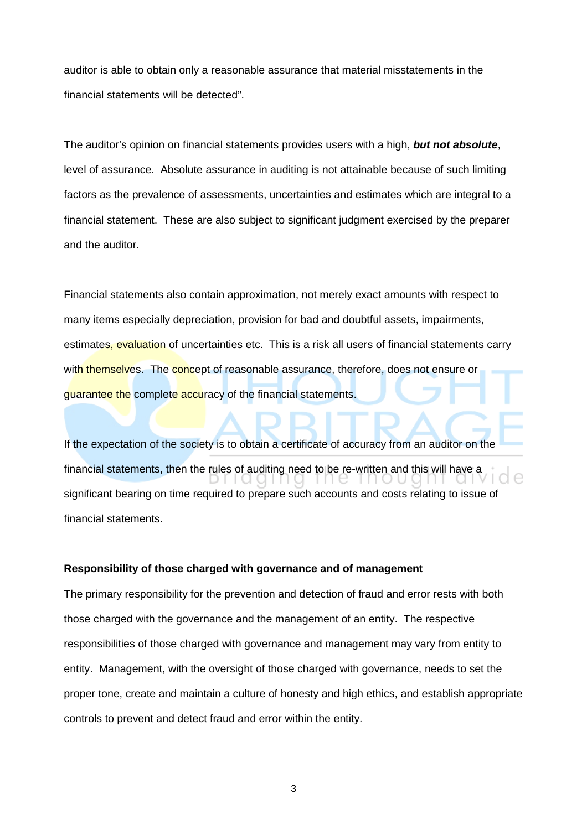auditor is able to obtain only a reasonable assurance that material misstatements in the financial statements will be detected".

The auditor's opinion on financial statements provides users with a high, **but not absolute**, level of assurance. Absolute assurance in auditing is not attainable because of such limiting factors as the prevalence of assessments, uncertainties and estimates which are integral to a financial statement. These are also subject to significant judgment exercised by the preparer and the auditor.

Financial statements also contain approximation, not merely exact amounts with respect to many items especially depreciation, provision for bad and doubtful assets, impairments, estimates, evaluation of uncertainties etc. This is a risk all users of financial statements carry with themselves. The concept of reasonable assurance, therefore, does not ensure or guarantee the complete accuracy of the financial statements.

If the expectation of the society is to obtain a certificate of accuracy from an auditor on the financial statements, then the rules of auditing need to be re-written and this will have a significant bearing on time required to prepare such accounts and costs relating to issue of financial statements.

## **Responsibility of those charged with governance and of management**

The primary responsibility for the prevention and detection of fraud and error rests with both those charged with the governance and the management of an entity. The respective responsibilities of those charged with governance and management may vary from entity to entity. Management, with the oversight of those charged with governance, needs to set the proper tone, create and maintain a culture of honesty and high ethics, and establish appropriate controls to prevent and detect fraud and error within the entity.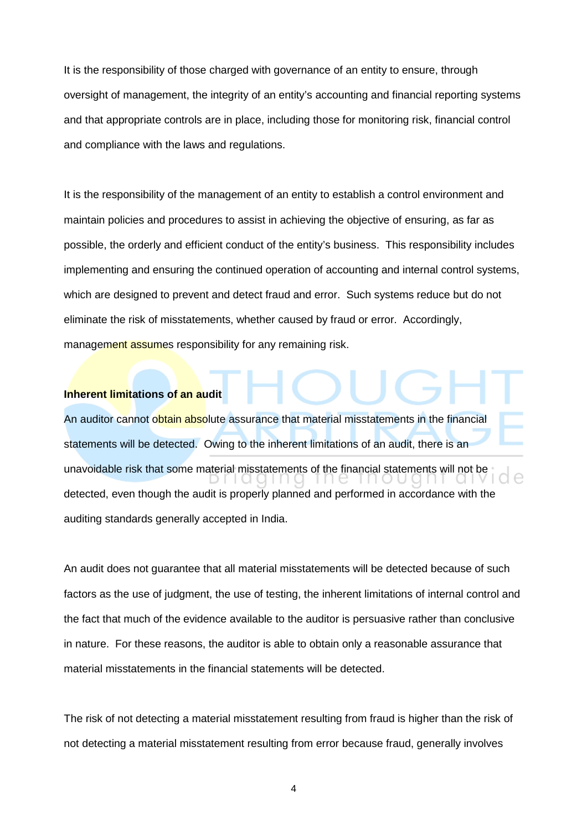It is the responsibility of those charged with governance of an entity to ensure, through oversight of management, the integrity of an entity's accounting and financial reporting systems and that appropriate controls are in place, including those for monitoring risk, financial control and compliance with the laws and regulations.

It is the responsibility of the management of an entity to establish a control environment and maintain policies and procedures to assist in achieving the objective of ensuring, as far as possible, the orderly and efficient conduct of the entity's business. This responsibility includes implementing and ensuring the continued operation of accounting and internal control systems, which are designed to prevent and detect fraud and error. Such systems reduce but do not eliminate the risk of misstatements, whether caused by fraud or error. Accordingly, management assumes responsibility for any remaining risk.

## **Inherent limitations of an audit**

An auditor cannot obtain absolute assurance that material misstatements in the financial statements will be detected. Owing to the inherent limitations of an audit, there is an unavoidable risk that some material misstatements of the financial statements will not be detected, even though the audit is properly planned and performed in accordance with the auditing standards generally accepted in India.

An audit does not guarantee that all material misstatements will be detected because of such factors as the use of judgment, the use of testing, the inherent limitations of internal control and the fact that much of the evidence available to the auditor is persuasive rather than conclusive in nature. For these reasons, the auditor is able to obtain only a reasonable assurance that material misstatements in the financial statements will be detected.

The risk of not detecting a material misstatement resulting from fraud is higher than the risk of not detecting a material misstatement resulting from error because fraud, generally involves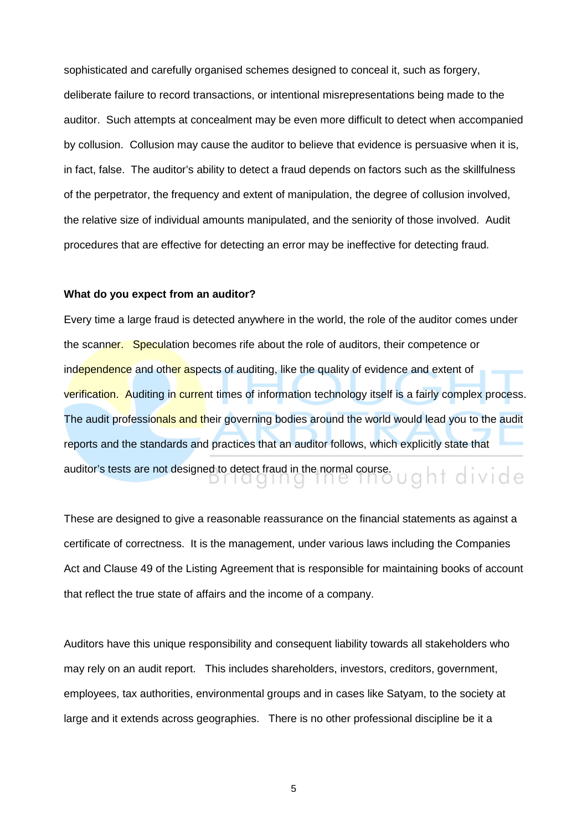sophisticated and carefully organised schemes designed to conceal it, such as forgery, deliberate failure to record transactions, or intentional misrepresentations being made to the auditor. Such attempts at concealment may be even more difficult to detect when accompanied by collusion. Collusion may cause the auditor to believe that evidence is persuasive when it is, in fact, false. The auditor's ability to detect a fraud depends on factors such as the skillfulness of the perpetrator, the frequency and extent of manipulation, the degree of collusion involved, the relative size of individual amounts manipulated, and the seniority of those involved. Audit procedures that are effective for detecting an error may be ineffective for detecting fraud.

#### **What do you expect from an auditor?**

Every time a large fraud is detected anywhere in the world, the role of the auditor comes under the scanner. Speculation becomes rife about the role of auditors, their competence or independence and other aspects of auditing, like the quality of evidence and extent of verification. Auditing in current times of information technology itself is a fairly complex process. The audit professionals and their governing bodies around the world would lead you to the audit reports and the standards and practices that an auditor follows, which explicitly state that auditor's tests are not designed to detect fraud in the normal course.

These are designed to give a reasonable reassurance on the financial statements as against a certificate of correctness. It is the management, under various laws including the Companies Act and Clause 49 of the Listing Agreement that is responsible for maintaining books of account that reflect the true state of affairs and the income of a company.

Auditors have this unique responsibility and consequent liability towards all stakeholders who may rely on an audit report. This includes shareholders, investors, creditors, government, employees, tax authorities, environmental groups and in cases like Satyam, to the society at large and it extends across geographies. There is no other professional discipline be it a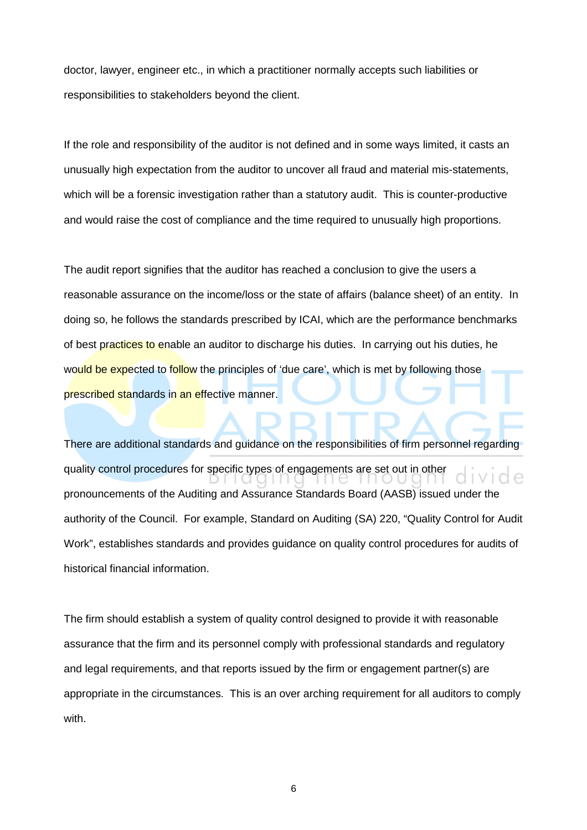doctor, lawyer, engineer etc., in which a practitioner normally accepts such liabilities or responsibilities to stakeholders beyond the client.

If the role and responsibility of the auditor is not defined and in some ways limited, it casts an unusually high expectation from the auditor to uncover all fraud and material mis-statements, which will be a forensic investigation rather than a statutory audit. This is counter-productive and would raise the cost of compliance and the time required to unusually high proportions.

The audit report signifies that the auditor has reached a conclusion to give the users a reasonable assurance on the income/loss or the state of affairs (balance sheet) of an entity. In doing so, he follows the standards prescribed by ICAI, which are the performance benchmarks of best practices to enable an auditor to discharge his duties. In carrying out his duties, he would be expected to follow the principles of 'due care', which is met by following those prescribed standards in an effective manner.

There are additional standards and guidance on the responsibilities of firm personnel regarding quality control procedures for specific types of engagements are set out in other pronouncements of the Auditing and Assurance Standards Board (AASB) issued under the authority of the Council. For example, Standard on Auditing (SA) 220, "Quality Control for Audit Work", establishes standards and provides guidance on quality control procedures for audits of historical financial information.

The firm should establish a system of quality control designed to provide it with reasonable assurance that the firm and its personnel comply with professional standards and regulatory and legal requirements, and that reports issued by the firm or engagement partner(s) are appropriate in the circumstances. This is an over arching requirement for all auditors to comply with.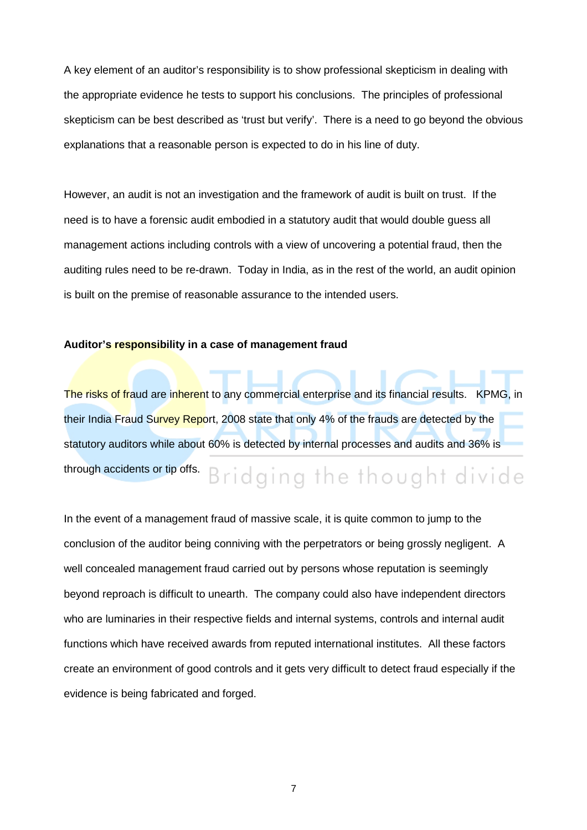A key element of an auditor's responsibility is to show professional skepticism in dealing with the appropriate evidence he tests to support his conclusions. The principles of professional skepticism can be best described as 'trust but verify'. There is a need to go beyond the obvious explanations that a reasonable person is expected to do in his line of duty.

However, an audit is not an investigation and the framework of audit is built on trust. If the need is to have a forensic audit embodied in a statutory audit that would double guess all management actions including controls with a view of uncovering a potential fraud, then the auditing rules need to be re-drawn. Today in India, as in the rest of the world, an audit opinion is built on the premise of reasonable assurance to the intended users.

#### **Auditor's responsibility in a case of management fraud**

The risks of fraud are inherent to any commercial enterprise and its financial results. KPMG, in their India Fraud Survey Report, 2008 state that only 4% of the frauds are detected by the statutory auditors while about 60% is detected by internal processes and audits and 36% is through accidents or tip offs. Bridging the thought divide

In the event of a management fraud of massive scale, it is quite common to jump to the conclusion of the auditor being conniving with the perpetrators or being grossly negligent. A well concealed management fraud carried out by persons whose reputation is seemingly beyond reproach is difficult to unearth. The company could also have independent directors who are luminaries in their respective fields and internal systems, controls and internal audit functions which have received awards from reputed international institutes. All these factors create an environment of good controls and it gets very difficult to detect fraud especially if the evidence is being fabricated and forged.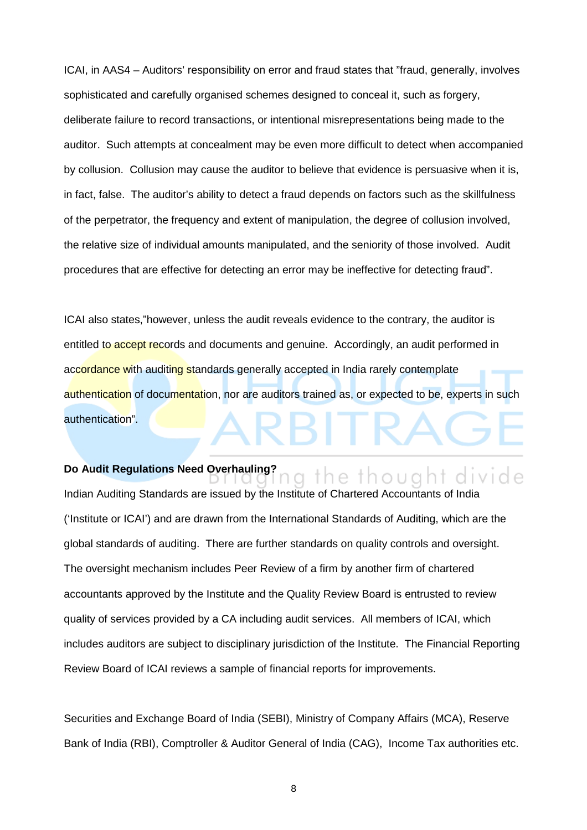ICAI, in AAS4 – Auditors' responsibility on error and fraud states that "fraud, generally, involves sophisticated and carefully organised schemes designed to conceal it, such as forgery, deliberate failure to record transactions, or intentional misrepresentations being made to the auditor. Such attempts at concealment may be even more difficult to detect when accompanied by collusion. Collusion may cause the auditor to believe that evidence is persuasive when it is, in fact, false. The auditor's ability to detect a fraud depends on factors such as the skillfulness of the perpetrator, the frequency and extent of manipulation, the degree of collusion involved, the relative size of individual amounts manipulated, and the seniority of those involved. Audit procedures that are effective for detecting an error may be ineffective for detecting fraud".

ICAI also states,"however, unless the audit reveals evidence to the contrary, the auditor is entitled to accept records and documents and genuine. Accordingly, an audit performed in accordance with auditing standards generally accepted in India rarely contemplate authentication of documentation, nor are auditors trained as, or expected to be, experts in such authentication".

the thought di

# **Do Audit Regulations Need Overhauling?**

Indian Auditing Standards are issued by the Institute of Chartered Accountants of India ('Institute or ICAI') and are drawn from the International Standards of Auditing, which are the global standards of auditing. There are further standards on quality controls and oversight. The oversight mechanism includes Peer Review of a firm by another firm of chartered accountants approved by the Institute and the Quality Review Board is entrusted to review quality of services provided by a CA including audit services. All members of ICAI, which includes auditors are subject to disciplinary jurisdiction of the Institute. The Financial Reporting Review Board of ICAI reviews a sample of financial reports for improvements.

Securities and Exchange Board of India (SEBI), Ministry of Company Affairs (MCA), Reserve Bank of India (RBI), Comptroller & Auditor General of India (CAG), Income Tax authorities etc.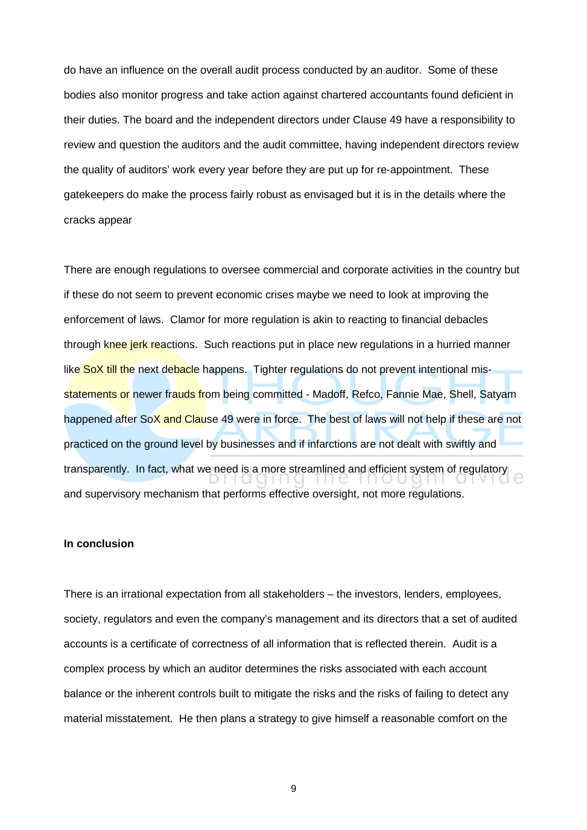do have an influence on the overall audit process conducted by an auditor. Some of these bodies also monitor progress and take action against chartered accountants found deficient in their duties. The board and the independent directors under Clause 49 have a responsibility to review and question the auditors and the audit committee, having independent directors review the quality of auditors' work every year before they are put up for re-appointment. These gatekeepers do make the process fairly robust as envisaged but it is in the details where the cracks appear

There are enough regulations to oversee commercial and corporate activities in the country but if these do not seem to prevent economic crises maybe we need to look at improving the enforcement of laws. Clamor for more regulation is akin to reacting to financial debacles through knee jerk reactions. Such reactions put in place new regulations in a hurried manner like SoX till the next debacle happens. Tighter regulations do not prevent intentional misstatements or newer frauds from being committed - Madoff, Refco, Fannie Mae, Shell, Satyam happened after SoX and Clause 49 were in force. The best of laws will not help if these are not practiced on the ground level by businesses and if infarctions are not dealt with swiftly and transparently. In fact, what we need is a more streamlined and efficient system of regulatory e and supervisory mechanism that performs effective oversight, not more regulations.

## **In conclusion**

There is an irrational expectation from all stakeholders – the investors, lenders, employees, society, regulators and even the company's management and its directors that a set of audited accounts is a certificate of correctness of all information that is reflected therein. Audit is a complex process by which an auditor determines the risks associated with each account balance or the inherent controls built to mitigate the risks and the risks of failing to detect any material misstatement. He then plans a strategy to give himself a reasonable comfort on the